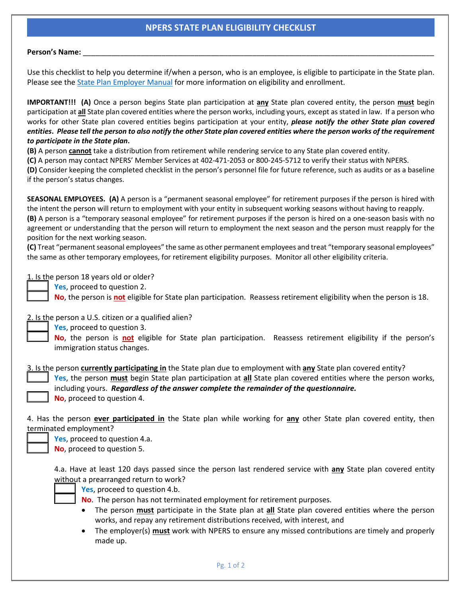## **NPERS STATE PLAN ELIGIBILITY CHECKLIST**

## **Person's Name:** \_\_\_\_\_\_\_\_\_\_\_\_\_\_\_\_\_\_\_\_\_\_\_\_\_\_\_\_\_\_\_\_\_\_\_\_\_\_\_\_\_\_\_\_\_\_\_\_\_\_\_\_\_\_\_\_\_\_\_\_\_\_\_\_\_\_\_\_\_\_\_\_\_\_\_\_\_\_\_\_\_\_\_\_\_

Use this checklist to help you determine if/when a person, who is an employee, is eligible to participate in the State plan. Please see the [State Plan Employer Manual](https://npers.ne.gov/SelfService/public/documentation/employerReporting/state/StateERManual.pdf) for more information on eligibility and enrollment.

**IMPORTANT!!! (A)** Once a person begins State plan participation at **any** State plan covered entity, the person **must** begin participation at **all** State plan covered entities where the person works, including yours, except as stated in law. If a person who works for other State plan covered entities begins participation at your entity, *please notify the other State plan covered entities***.** *Please tell the person to also notify the other State plan covered entities where the person works of the requirement to participate in the State plan***.**

**(B)** A person **cannot** take a distribution from retirement while rendering service to any State plan covered entity.

**(C)** A person may contact NPERS' Member Services at 402-471-2053 or 800-245-5712 to verify their status with NPERS.

**(D)** Consider keeping the completed checklist in the person's personnel file for future reference, such as audits or as a baseline if the person's status changes.

**SEASONAL EMPLOYEES. (A)** A person is a "permanent seasonal employee" for retirement purposes if the person is hired with the intent the person will return to employment with your entity in subsequent working seasons without having to reapply. **(B)** A person is a "temporary seasonal employee" for retirement purposes if the person is hired on a one-season basis with no agreement or understanding that the person will return to employment the next season and the person must reapply for the position for the next working season.

**(C)** Treat "permanent seasonal employees" the same as other permanent employees and treat "temporary seasonal employees" the same as other temporary employees, for retirement eligibility purposes. Monitor all other eligibility criteria.

1. Is the person 18 years old or older?

\_\_\_\_\_ **Yes**, proceed to question 2.

\_\_\_\_\_ **No**, the person is **not** eligible for State plan participation. Reassess retirement eligibility when the person is 18.

2. Is the person a U.S. citizen or a qualified alien?

\_\_\_\_\_ **Yes**, proceed to question 3.

\_\_\_\_\_ **No**, the person is **not** eligible for State plan participation. Reassess retirement eligibility if the person's immigration status changes.

3. Is the person **currently participating in** the State plan due to employment with **any** State plan covered entity?

\_\_\_\_\_ **Yes**, the person **must** begin State plan participation at **all** State plan covered entities where the person works, including yours. *Regardless of the answer complete the remainder of the questionnaire.* \_\_\_\_\_ **No**, proceed to question 4.

4. Has the person **ever participated in** the State plan while working for **any** other State plan covered entity, then terminated employment?

Yes, proceed to question 4.a.

\_\_\_\_\_ **No**, proceed to question 5.

4.a. Have at least 120 days passed since the person last rendered service with **any** State plan covered entity without a prearranged return to work?



Yes, proceed to question 4.b.

- \_\_\_\_\_ **No**. The person has not terminated employment for retirement purposes.
- The person **must** participate in the State plan at **all** State plan covered entities where the person works, and repay any retirement distributions received, with interest, and
- The employer(s) **must** work with NPERS to ensure any missed contributions are timely and properly made up.